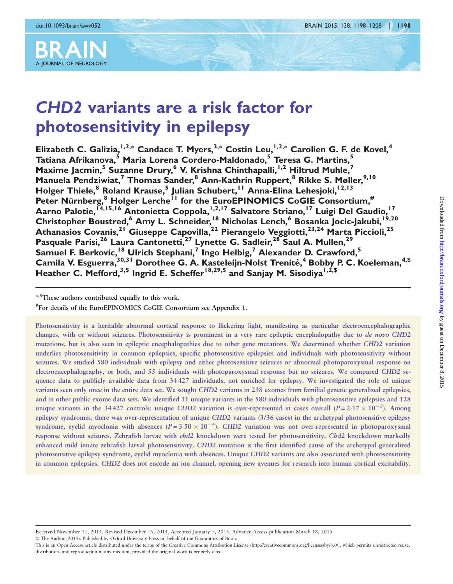

# CHD2 variants are a risk factor for photosensitivity in epilepsy

Elizabeth C. Galizia, <sup>I,2,\*</sup> Candace T. Myers, <sup>3,\*</sup> Costin Leu, <sup>I,2,\*</sup> Carolien G. F. de Kovel, <sup>4</sup> Tatiana Afrikanova,<sup>5</sup> Maria Lorena Cordero-Maldonado,<sup>5</sup> Teresa G. Martins,<sup>5</sup> Maxime Jacmin,<sup>5</sup> Suzanne Drury,<sup>6</sup> V. Krishna Chinthapalli, <sup>1,2</sup> Hiltrud Muhle, Manuela Pendziwiat,<sup>7</sup> Thomas Sander,<sup>8</sup> Ann-Kathrin Ruppert.<sup>8</sup> Rikke S. Møller.<sup>9,10</sup> Holger Thiele,<sup>8</sup> Roland Krause,<sup>5</sup> Julian Schubert,<sup>11</sup> Anna-Elina Lehesjoki,<sup>12,13</sup> Peter Nürnberg,<sup>8</sup> Holger Lerche<sup>11</sup> for the EuroEPINOMICS CoGIE Consortium,<sup>#</sup> Aarno Palotie, <sup>14,15,16</sup> Antonietta Coppola, <sup>1,2,17</sup> Salvatore Striano, <sup>17</sup> Luigi Del Gaudio, <sup>17</sup> Christopher Boustred,<sup>6</sup> Amy L. Schneider,<sup>18</sup> Nicholas Lench,<sup>6</sup> Bosanka Jocic-Jakubi,<sup>19,20</sup> Athanasios Covanis,<sup>21</sup> Giuseppe Capovilla,<sup>22</sup> Pierangelo Veggiotti,<sup>23,24</sup> Marta Piccioli,<sup>25</sup> Pasquale Parisi,<sup>26</sup> Laura Cantonetti,<sup>27</sup> Lynette G. Sadleir,<sup>28</sup> Saul A. Mullen,<sup>29</sup> Samuel F. Berkovic,<sup>18</sup> Ulrich Stephani,<sup>7</sup> Ingo Helbig,<sup>7</sup> Alexander D. Crawford,<sup>5</sup> Camila V. Esguerra, 30,31 Dorothee G. A. Kasteleijn-Nolst Trenité, <sup>4</sup> Bobby P. C. Koeleman, <sup>4,\$</sup> Heather C. Mefford,<sup>3,\$</sup> Ingrid E. Scheffer<sup>18,29,\$</sup> and Sanjay M. Sisodiya<sup>1,2,\$</sup>

-,\$These authors contributed equally to this work.

# For details of the EuroEPINOMICS CoGIE Consortium see Appendix 1.

Photosensitivity is a heritable abnormal cortical response to flickering light, manifesting as particular electroencephalographic changes, with or without seizures. Photosensitivity is prominent in a very rare epileptic encephalopathy due to de novo CHD2 mutations, but is also seen in epileptic encephalopathies due to other gene mutations. We determined whether CHD2 variation underlies photosensitivity in common epilepsies, specific photosensitive epilepsies and individuals with photosensitivity without seizures. We studied 580 individuals with epilepsy and either photosensitive seizures or abnormal photoparoxysmal response on electroencephalography, or both, and 55 individuals with photoparoxysmal response but no seizures. We compared CHD2 sequence data to publicly available data from 34 427 individuals, not enriched for epilepsy. We investigated the role of unique variants seen only once in the entire data set. We sought CHD2 variants in 238 exomes from familial genetic generalized epilepsies, and in other public exome data sets. We identified 11 unique variants in the 580 individuals with photosensitive epilepsies and 128 unique variants in the 34427 controls: unique CHD2 variation is over-represented in cases overall ( $P = 2.17 \times 10^{-5}$ ). Among epilepsy syndromes, there was over-representation of unique CHD2 variants (3/36 cases) in the archetypal photosensitive epilepsy syndrome, eyelid myoclonia with absences  $(P = 3.50 \times 10^{-4})$ . CHD2 variation was not over-represented in photoparoxysmal response without seizures. Zebrafish larvae with *chd2* knockdown were tested for photosensitivity. Chd2 knockdown markedly enhanced mild innate zebrafish larval photosensitivity. CHD2 mutation is the first identified cause of the archetypal generalized photosensitive epilepsy syndrome, eyelid myoclonia with absences. Unique CHD2 variants are also associated with photosensitivity in common epilepsies. CHD2 does not encode an ion channel, opening new avenues for research into human cortical excitability.

This is an Open Access article distributed under the terms of the Creative Commons Attribution License ([http://creativecommons.org/licenses/by/4.0/\)](http://creativecommons.org/licenses/by/4.0/), which permits unrestricted reuse, distribution, and reproduction in any medium, provided the original work is properly cited.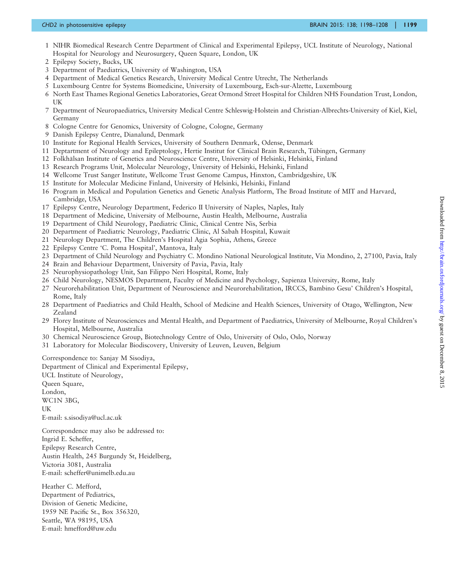- 1 NIHR Biomedical Research Centre Department of Clinical and Experimental Epilepsy, UCL Institute of Neurology, National Hospital for Neurology and Neurosurgery, Queen Square, London, UK
- 2 Epilepsy Society, Bucks, UK
- 3 Department of Paediatrics, University of Washington, USA
- 4 Department of Medical Genetics Research, University Medical Centre Utrecht, The Netherlands
- 5 Luxembourg Centre for Systems Biomedicine, University of Luxembourg, Esch-sur-Alzette, Luxembourg
- 6 North East Thames Regional Genetics Laboratories, Great Ormond Street Hospital for Children NHS Foundation Trust, London, UK
- 7 Department of Neuropaediatrics, University Medical Centre Schleswig-Holstein and Christian-Albrechts-University of Kiel, Kiel, Germany
- 8 Cologne Centre for Genomics, University of Cologne, Cologne, Germany
- 9 Danish Epilepsy Centre, Dianalund, Denmark
- 10 Institute for Regional Health Services, University of Southern Denmark, Odense, Denmark
- 11 Deptartment of Neurology and Epileptology, Hertie Institut for Clinical Brain Research, Tübingen, Germany
- 12 Folkhälsan Institute of Genetics and Neuroscience Centre, University of Helsinki, Helsinki, Finland
- 13 Research Programs Unit, Molecular Neurology, University of Helsinki, Helsinki, Finland
- 14 Wellcome Trust Sanger Institute, Wellcome Trust Genome Campus, Hinxton, Cambridgeshire, UK
- 15 Institute for Molecular Medicine Finland, University of Helsinki, Helsinki, Finland
- 16 Program in Medical and Population Genetics and Genetic Analysis Platform, The Broad Institute of MIT and Harvard, Cambridge, USA
- 17 Epilepsy Centre, Neurology Department, Federico II University of Naples, Naples, Italy
- 18 Department of Medicine, University of Melbourne, Austin Health, Melbourne, Australia
- 19 Department of Child Neurology, Paediatric Clinic, Clinical Centre Nis, Serbia
- 20 Department of Paediatric Neurology, Paediatric Clinic, Al Sabah Hospital, Kuwait
- 21 Neurology Department, The Children's Hospital Agia Sophia, Athens, Greece
- 22 Epilepsy Centre 'C. Poma Hospital', Mantova, Italy
- 23 Department of Child Neurology and Psychiatry C. Mondino National Neurological Institute, Via Mondino, 2, 27100, Pavia, Italy
- 24 Brain and Behaviour Department, University of Pavia, Pavia, Italy
- 25 Neurophysiopathology Unit, San Filippo Neri Hospital, Rome, Italy
- 26 Child Neurology, NESMOS Department, Faculty of Medicine and Psychology, Sapienza University, Rome, Italy
- 27 Neurorehabilitation Unit, Department of Neuroscience and Neurorehabilitation, IRCCS, Bambino Gesu' Children's Hospital, Rome, Italy
- 28 Department of Paediatrics and Child Health, School of Medicine and Health Sciences, University of Otago, Wellington, New Zealand
- 29 Florey Institute of Neurosciences and Mental Health, and Department of Paediatrics, University of Melbourne, Royal Children's Hospital, Melbourne, Australia
- 30 Chemical Neuroscience Group, Biotechnology Centre of Oslo, University of Oslo, Oslo, Norway
- 31 Laboratory for Molecular Biodiscovery, University of Leuven, Leuven, Belgium

Correspondence to: Sanjay M Sisodiya,

Department of Clinical and Experimental Epilepsy, UCL Institute of Neurology, Queen Square, London, WC1N 3BG, UK E-mail: s.sisodiya@ucl.ac.uk Correspondence may also be addressed to:

Ingrid E. Scheffer, Epilepsy Research Centre, Austin Health, 245 Burgundy St, Heidelberg, Victoria 3081, Australia E-mail: scheffer@unimelb.edu.au

Heather C. Mefford, Department of Pediatrics, Division of Genetic Medicine, 1959 NE Pacific St., Box 356320, Seattle, WA 98195, USA E-mail: hmefford@uw.edu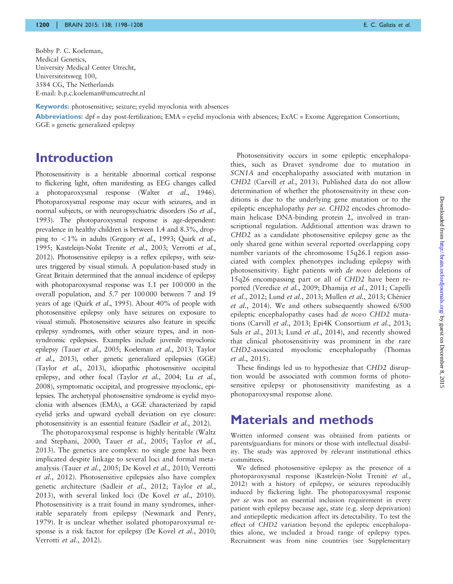Bobby P. C. Koeleman, Medical Genetics, University Medical Center Utrecht, Universiteitsweg 100, 3584 CG, The Netherlands E-mail: b.p.c.koeleman@umcutrecht.nl

Keywords: photosensitive; seizure; eyelid myoclonia with absences

Abbreviations:  $dpf = day$  post-fertilization;  $EMA = \text{eyclic}$  myoclonia with absences;  $Exact = Exome$  Aggregation Consortium; GGE = genetic generalized epilepsy

#### Introduction

Photosensitivity is a heritable abnormal cortical response to flickering light, often manifesting as EEG changes called a photoparoxysmal response (Walter et al[., 1946\)](#page-9-0). Photoparoxysmal response may occur with seizures, and in normal subjects, or with neuropsychiatric disorders (So [et al](#page-9-0)., [1993](#page-9-0)). The photoparoxysmal response is age-dependent: prevalence in healthy children is between 1.4 and 8.3%, dropping to  $<$  1% in adults ([Gregory](#page-8-0) et al., 1993; [Quirk](#page-9-0) et al., [1995](#page-9-0); [Kasteleijn-Nolst Trenite](#page-9-0) et al., 2003; [Verrotti](#page-9-0) et al., [2012](#page-9-0)). Photosensitive epilepsy is a reflex epilepsy, with seizures triggered by visual stimuli. A population-based study in Great Britain determined that the annual incidence of epilepsy with photoparoxysmal response was 1.1 per 100 000 in the overall population, and 5.7 per 100 000 between 7 and 19 years of age (Quirk et al[., 1995\)](#page-9-0). About 40% of people with photosensitive epilepsy only have seizures on exposure to visual stimuli. Photosensitive seizures also feature in specific epilepsy syndromes, with other seizure types, and in nonsyndromic epilepsies. Examples include juvenile myoclonic epilepsy (Tauer et al.[, 2005](#page-9-0); [Koeleman](#page-9-0) et al., 2013; [Taylor](#page-9-0) et al.[, 2013\)](#page-9-0), other genetic generalized epilepsies (GGE) (Taylor et al.[, 2013](#page-9-0)), idiopathic photosensitive occipital epilepsy, and other focal (Taylor et al.[, 2004](#page-9-0); Lu [et al.](#page-9-0), [2008](#page-9-0)), symptomatic occipital, and progressive myoclonic, epilepsies. The archetypal photosensitive syndrome is eyelid myoclonia with absences (EMA), a GGE characterized by rapid eyelid jerks and upward eyeball deviation on eye closure: photosensitivity is an essential feature (Sadleir et al.[, 2012\)](#page-9-0).

The photoparoxysmal response is highly heritable [\(Waltz](#page-9-0) [and Stephani, 2000;](#page-9-0) Tauer et al.[, 2005; Taylor](#page-9-0) et al., [2013](#page-9-0)). The genetics are complex: no single gene has been implicated despite linkage to several loci and formal metaanalysis (Tauer et al.[, 2005](#page-9-0); [De Kovel](#page-8-0) et al., 2010; [Verrotti](#page-9-0) et al.[, 2012](#page-9-0)). Photosensitive epilepsies also have complex genetic architecture (Sadleir et al.[, 2012; Taylor](#page-9-0) et al., [2013](#page-9-0)), with several linked loci ([De Kovel](#page-8-0) et al., 2010). Photosensitivity is a trait found in many syndromes, inheritable separately from epilepsy ([Newmark and Penry,](#page-9-0) [1979](#page-9-0)). It is unclear whether isolated photoparoxysmal re-sponse is a risk factor for epilepsy ([De Kovel](#page-8-0) et al., 2010; [Verrotti](#page-9-0) et al., 2012).

Photosensitivity occurs in some epileptic encephalopathies, such as Dravet syndrome due to mutation in SCN1A and encephalopathy associated with mutation in CHD2 (Carvill et al.[, 2013](#page-8-0)). Published data do not allow determination of whether the photosensitivity in these conditions is due to the underlying gene mutation or to the epileptic encephalopathy per se. CHD2 encodes chromodomain helicase DNA-binding protein 2, involved in transcriptional regulation. Additional attention was drawn to CHD2 as a candidate photosensitive epilepsy gene as the only shared gene within several reported overlapping copy number variants of the chromosome 15q26.1 region associated with complex phenotypes including epilepsy with photosensitivity. Eight patients with de novo deletions of 15q26 encompassing part or all of CHD2 have been reported ([Veredice](#page-9-0) et al., 2009; [Dhamija](#page-8-0) et al., 2011; [Capelli](#page-8-0) et al.[, 2012](#page-8-0); Lund et al.[, 2013; Mullen](#page-9-0) et al., 2013; Chénier et al.[, 2014](#page-8-0)). We and others subsequently showed 6/500 epileptic encephalopathy cases had de novo CHD2 mutations (Carvill et al.[, 2013; Epi4K Consortium](#page-8-0) et al., 2013; Suls *et al.*[, 2013;](#page-9-0) Lund *et al.*[, 2014\)](#page-9-0), and recently showed that clinical photosensitivity was prominent in the rare CHD2-associated myoclonic encephalopathy [\(Thomas](#page-9-0) et al[., 2015](#page-9-0)).

These findings led us to hypothesize that CHD2 disruption would be associated with common forms of photosensitive epilepsy or photosensitivity manifesting as a photoparoxysmal response alone.

#### Materials and methods

Written informed consent was obtained from patients or parents/guardians for minors or those with intellectual disability. The study was approved by relevant institutional ethics committees.

We defined photosensitive epilepsy as the presence of a photoparoxysmal response (Kasteleijn-Nolst Trenité et al., [2012\)](#page-8-0) with a history of epilepsy, or seizures reproducibly induced by flickering light. The photoparoxysmal response per se was not an essential inclusion requirement in every patient with epilepsy because age, state (e.g. sleep deprivation) and antiepileptic medication affect its detectability. To test the effect of CHD2 variation beyond the epileptic encephalopathies alone, we included a broad range of epilepsy types. Recruitment was from nine countries (see [Supplementary](http://brain.oxfordjournals.org/lookup/suppl/doi:10.1093/brain/awv052/-/DC1)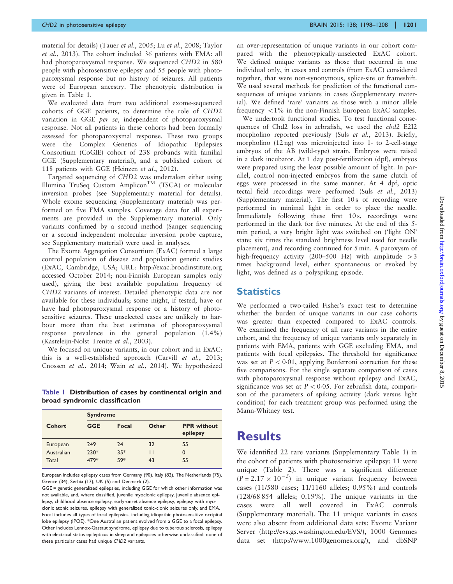[material](http://brain.oxfordjournals.org/lookup/suppl/doi:10.1093/brain/awv052/-/DC1) for details) (Tauer et al.[, 2005](#page-9-0); Lu et al.[, 2008; Taylor](#page-9-0) et al.[, 2013\)](#page-9-0). The cohort included 36 patients with EMA: all had photoparoxysmal response. We sequenced CHD2 in 580 people with photosensitive epilepsy and 55 people with photoparoxysmal response but no history of seizures. All patients were of European ancestry. The phenotypic distribution is given in Table 1.

We evaluated data from two additional exome-sequenced cohorts of GGE patients, to determine the role of CHD2 variation in GGE per se, independent of photoparoxysmal response. Not all patients in these cohorts had been formally assessed for photoparoxysmal response. These two groups were the Complex Genetics of Idiopathic Epilepsies Consortium (CoGIE) cohort of 238 probands with familial GGE [\(Supplementary material\)](http://brain.oxfordjournals.org/lookup/suppl/doi:10.1093/brain/awv052/-/DC1), and a published cohort of 118 patients with GGE [\(Heinzen](#page-8-0) et al., 2012).

Targeted sequencing of CHD2 was undertaken either using Illumina TruSeq Custom Amplicon<sup>TM</sup> (TSCA) or molecular inversion probes (see [Supplementary material](http://brain.oxfordjournals.org/lookup/suppl/doi:10.1093/brain/awv052/-/DC1) for details). Whole exome sequencing [\(Supplementary material\)](http://brain.oxfordjournals.org/lookup/suppl/doi:10.1093/brain/awv052/-/DC1) was performed on five EMA samples. Coverage data for all experiments are provided in the [Supplementary material](http://brain.oxfordjournals.org/lookup/suppl/doi:10.1093/brain/awv052/-/DC1). Only variants confirmed by a second method (Sanger sequencing or a second independent molecular inversion probe capture, see [Supplementary material\)](http://brain.oxfordjournals.org/lookup/suppl/doi:10.1093/brain/awv052/-/DC1) were used in analyses.

The Exome Aggregation Consortium (ExAC) formed a large control population of disease and population genetic studies (ExAC, Cambridge, USA; URL:<http://exac.broadinstitute.org> accessed October 2014; non-Finnish European samples only used), giving the best available population frequency of CHD2 variants of interest. Detailed phenotypic data are not available for these individuals; some might, if tested, have or have had photoparoxysmal response or a history of photosensitive seizures. These unselected cases are unlikely to harbour more than the best estimates of photoparoxysmal response prevalence in the general population (1.4%) ([Kasteleijn-Nolst Trenite](#page-9-0) et al., 2003).

We focused on unique variants, in our cohort and in ExAC: this is a well-established approach (Carvill et al.[, 2013](#page-8-0); [Cnossen](#page-8-0) et al., 2014; Wain et al.[, 2014\)](#page-9-0). We hypothesized

Table 1 Distribution of cases by continental origin and broad syndromic classification

|            | <b>Syndrome</b> |       |       |                                |  |  |  |
|------------|-----------------|-------|-------|--------------------------------|--|--|--|
| Cohort     | <b>GGE</b>      | Focal | Other | <b>PPR</b> without<br>epilepsy |  |  |  |
| European   | 249             | 24    | 32    | 55                             |  |  |  |
| Australian | $230*$          | $35*$ | Н     | 0                              |  |  |  |
| Total      | 479*            | 59*   | 43    | 55                             |  |  |  |

European includes epilepsy cases from Germany (90), Italy (82), The Netherlands (75), Greece (34), Serbia (17), UK (5) and Denmark (2).

GGE = genetic generalized epilepsies, including GGE for which other information was not available, and, where classified, juvenile myoclonic epilepsy, juvenile absence epilepsy, childhood absence epilepsy, early-onset absence epilepsy, epilepsy with myoclonic atonic seizures, epilepsy with generalized tonic-clonic seizures only, and EMA. Focal includes all types of focal epilepsies, including idiopathic photosensitive occipital lobe epilepsy (IPOE). \*One Australian patient evolved from a GGE to a focal epilepsy. Other includes Lennox-Gastaut syndrome, epilepsy due to tuberous sclerosis, epilepsy with electrical status epilepticus in sleep and epilepsies otherwise unclassified: none of these particular cases had unique CHD2 variants.

an over-representation of unique variants in our cohort compared with the phenotypically-unselected ExAC cohort. We defined unique variants as those that occurred in one individual only, in cases and controls (from ExAC) considered together, that were non-synonymous, splice-site or frameshift. We used several methods for prediction of the functional consequences of unique variants in cases ([Supplementary mater](http://brain.oxfordjournals.org/lookup/suppl/doi:10.1093/brain/awv052/-/DC1)[ial\)](http://brain.oxfordjournals.org/lookup/suppl/doi:10.1093/brain/awv052/-/DC1). We defined 'rare' variants as those with a minor allele frequency  $\langle 1\% \rangle$  in the non-Finnish European ExAC samples.

We undertook functional studies. To test functional consequences of Chd2 loss in zebrafish, we used the chd2 E2I2 morpholino reported previously (Suls et al.[, 2013\)](#page-9-0). Briefly, morpholino (12 ng) was microinjected into 1- to 2-cell-stage embryos of the AB (wild-type) strain. Embryos were raised in a dark incubator. At 1 day post-fertilization (dpf), embryos were prepared using the least possible amount of light. In parallel, control non-injected embryos from the same clutch of eggs were processed in the same manner. At 4 dpf, optic tectal field recordings were performed (Suls et al.[, 2013\)](#page-9-0) [\(Supplementary material\)](http://brain.oxfordjournals.org/lookup/suppl/doi:10.1093/brain/awv052/-/DC1). The first 10 s of recording were performed in minimal light in order to place the needle. Immediately following these first 10 s, recordings were performed in the dark for five minutes. At the end of this 5 min period, a very bright light was switched on ('light ON' state; six times the standard brightness level used for needle placement), and recording continued for 5 min. A paroxysm of high-frequency activity (200–500 Hz) with amplitude  $>3$ times background level, either spontaneous or evoked by light, was defined as a polyspiking episode.

#### **Statistics**

We performed a two-tailed Fisher's exact test to determine whether the burden of unique variants in our case cohorts was greater than expected compared to ExAC controls. We examined the frequency of all rare variants in the entire cohort, and the frequency of unique variants only separately in patients with EMA, patients with GGE excluding EMA, and patients with focal epilepsies. The threshold for significance was set at  $P < 0.01$ , applying Bonferroni correction for these five comparisons. For the single separate comparison of cases with photoparoxysmal response without epilepsy and ExAC, significance was set at  $P < 0.05$ . For zebrafish data, comparison of the parameters of spiking activity (dark versus light condition) for each treatment group was performed using the Mann-Whitney test.

#### **Results**

We identified 22 rare variants [\(Supplementary Table 1\)](http://brain.oxfordjournals.org/lookup/suppl/doi:10.1093/brain/awv052/-/DC1) in the cohort of patients with photosensitive epilepsy: 11 were unique [\(Table 2](#page-4-0)). There was a significant difference  $(P = 2.17 \times 10^{-5})$  in unique variant frequency between cases (11/580 cases; 11/1160 alleles; 0.95%) and controls (128/68 854 alleles; 0.19%). The unique variants in the cases were all well covered in ExAC controls ([Supplementary material](http://brain.oxfordjournals.org/lookup/suppl/doi:10.1093/brain/awv052/-/DC1)). The 11 unique variants in cases were also absent from additional data sets: Exome Variant Server (<http://evs.gs.washington.edu/EVS/>), 1000 Genomes data set [\(http://www.1000genomes.org/](http://www.ncbi.nlm.nih.gov/SNP)), and dbSNP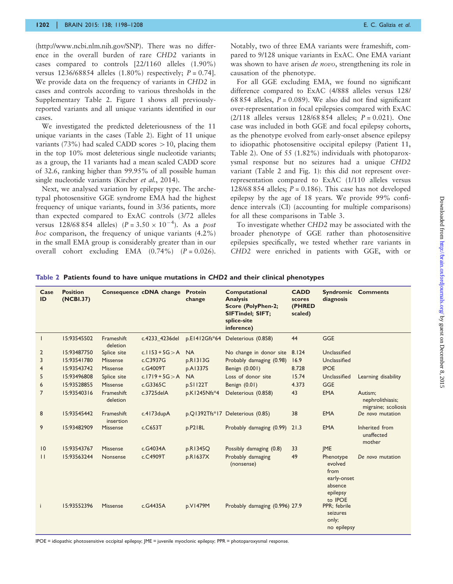<span id="page-4-0"></span>[\(http://www.ncbi.nlm.nih.gov/SNP](http://www.ncbi.nlm.nih.gov/SNP)). There was no difference in the overall burden of rare CHD2 variants in cases compared to controls [22/1160 alleles (1.90%) versus 1236/68854 alleles  $(1.80\%)$  respectively;  $P = 0.74$ . We provide data on the frequency of variants in CHD2 in cases and controls according to various thresholds in the [Supplementary Table 2.](http://brain.oxfordjournals.org/lookup/suppl/doi:10.1093/brain/awv052/-/DC1) [Figure 1](#page-5-0) shows all previouslyreported variants and all unique variants identified in our cases.

We investigated the predicted deleteriousness of the 11 unique variants in the cases (Table 2). Eight of 11 unique variants (73%) had scaled CADD scores  $> 10$ , placing them in the top 10% most deleterious single nucleotide variants; as a group, the 11 variants had a mean scaled CADD score of 32.6, ranking higher than 99.95% of all possible human single nucleotide variants [\(Kircher](#page-9-0) et al., 2014).

Next, we analysed variation by epilepsy type. The archetypal photosensitive GGE syndrome EMA had the highest frequency of unique variants, found in 3/36 patients, more than expected compared to ExAC controls (3/72 alleles versus 128/68 854 alleles)  $(P = 3.50 \times 10^{-4})$ . As a post hoc comparison, the frequency of unique variants (4.2%) in the small EMA group is considerably greater than in our overall cohort excluding EMA  $(0.74\%)$   $(P = 0.026)$ .

Notably, two of three EMA variants were frameshift, compared to 9/128 unique variants in ExAC. One EMA variant was shown to have arisen de novo, strengthening its role in causation of the phenotype.

For all GGE excluding EMA, we found no significant difference compared to ExAC (4/888 alleles versus 128/ 68 854 alleles,  $P = 0.089$ ). We also did not find significant over-representation in focal epilepsies compared with ExAC (2/118 alleles versus 128/68 854 alleles;  $P = 0.021$ ). One case was included in both GGE and focal epilepsy cohorts, as the phenotype evolved from early-onset absence epilepsy to idiopathic photosensitive occipital epilepsy (Patient 11, Table 2). One of 55 (1.82%) individuals with photoparoxysmal response but no seizures had a unique CHD2 variant (Table 2 and [Fig. 1\)](#page-5-0): this did not represent overrepresentation compared to ExAC (1/110 alleles versus 128/68 854 alleles;  $P = 0.186$ ). This case has not developed epilepsy by the age of 18 years. We provide 99% confidence intervals (CI) (accounting for multiple comparisons) for all these comparisons in [Table 3.](#page-5-0)

To investigate whether CHD2 may be associated with the broader phenotype of GGE rather than photosensitive epilepsies specifically, we tested whether rare variants in CHD2 were enriched in patients with GGE, with or

| Case<br>ID     | <b>Position</b><br>(NCBI.37) |                         | Consequence cDNA change Protein | change       | <b>Computational</b><br><b>Analysis</b><br><b>Score (PolyPhen-2;</b><br>SIFTindel; SIFT;<br>splice-site<br>inference) | <b>CADD</b><br>scores<br>(PHRED<br>scaled) | diagnosis                                                                     | <b>Syndromic Comments</b>                          |
|----------------|------------------------------|-------------------------|---------------------------------|--------------|-----------------------------------------------------------------------------------------------------------------------|--------------------------------------------|-------------------------------------------------------------------------------|----------------------------------------------------|
| $\mathbf{I}$   | 15:93545502                  | Frameshift<br>deletion  | c.4233_4236del                  |              | p.E1412Gfs*64 Deleterious (0.858)                                                                                     | 44                                         | <b>GGE</b>                                                                    |                                                    |
| 2              | 15:93487750                  | Splice site             | c.1153 + $5G > A$               | <b>NA</b>    | No change in donor site                                                                                               | 8.124                                      | Unclassified                                                                  |                                                    |
| 3              | 15:93541780                  | <b>Missense</b>         | c.C3937G                        | p.R1313G     | Probably damaging (0.98)                                                                                              | 16.9                                       | Unclassified                                                                  |                                                    |
| $\overline{4}$ | 15:93543742                  | Missense                | $c$ .G4009T                     | p.A1337S     | Benign (0.001)                                                                                                        | 8.728                                      | <b>IPOE</b>                                                                   |                                                    |
| 5              | 15:93496808                  | Splice site             | c.1719 + $5G > A$               | <b>NA</b>    | Loss of donor site                                                                                                    | 15.74                                      | Unclassified                                                                  | Learning disability                                |
| 6              | 15:93528855                  | Missense                | $c$ .G3365C                     | p.S1122T     | Benign (0.01)                                                                                                         | 4.373                                      | GGE                                                                           |                                                    |
| $\overline{7}$ | 15:93540316                  | Frameshift<br>deletion  | c.3725delA                      | p.K1245Nfs*4 | Deleterious (0.858)                                                                                                   | 43                                         | <b>EMA</b>                                                                    | Autism;<br>nephrolithiasis;<br>migraine; scoliosis |
| 8              | 15:93545442                  | Frameshift<br>insertion | c.4173dupA                      |              | p.Q1392Tfs*17 Deleterious (0.85)                                                                                      | 38                                         | <b>EMA</b>                                                                    | De novo mutation                                   |
| 9              | 15:93482909                  | <b>Missense</b>         | $c$ .C653T                      | p.P218L      | Probably damaging (0.99)                                                                                              | 21.3                                       | <b>EMA</b>                                                                    | Inherited from<br>unaffected<br>mother             |
| 10             | 15:93543767                  | Missense                | c.G4034A                        | p.R1345Q     | Possibly damaging (0.8)                                                                                               | 33                                         | <b>IME</b>                                                                    |                                                    |
| $\mathbf{H}$   | 15:93563244                  | Nonsense                | c.C4909T                        | p.R1637X     | Probably damaging<br>(nonsense)                                                                                       | 49                                         | Phenotype<br>evolved<br>from<br>early-onset<br>absence<br>epilepsy<br>to IPOE | De novo mutation                                   |
| i.             | 15:93552396                  | Missense                | c.G4435A                        | p.V1479M     | Probably damaging (0.996) 27.9                                                                                        |                                            | PPR; febrile<br>seizures<br>only;<br>no epilepsy                              |                                                    |

Table 2 Patients found to have unique mutations in CHD2 and their clinical phenotypes

IPOE = idiopathic photosensitive occipital epilepsy; JME = juvenile myoclonic epilepsy; PPR = photoparoxysmal response.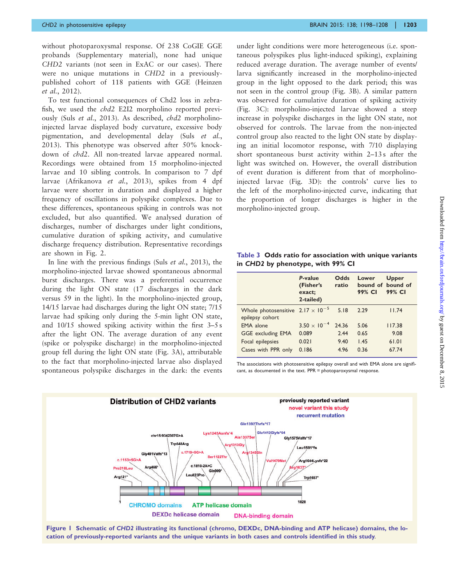<span id="page-5-0"></span>without photoparoxysmal response. Of 238 CoGIE GGE probands [\(Supplementary material\)](http://brain.oxfordjournals.org/lookup/suppl/doi:10.1093/brain/awv052/-/DC1), none had unique CHD2 variants (not seen in ExAC or our cases). There were no unique mutations in CHD2 in a previouslypublished cohort of 118 patients with GGE [\(Heinzen](#page-8-0) et al.[, 2012\)](#page-8-0).

To test functional consequences of Chd2 loss in zebrafish, we used the chd2 E2I2 morpholino reported previously (Suls et al.[, 2013\)](#page-9-0). As described, chd2 morpholinoinjected larvae displayed body curvature, excessive body pigmentation, and developmental delay (Suls [et al.](#page-9-0), [2013\)](#page-9-0). This phenotype was observed after 50% knockdown of chd2. All non-treated larvae appeared normal. Recordings were obtained from 15 morpholino-injected larvae and 10 sibling controls. In comparison to 7 dpf larvae ([Afrikanova](#page-8-0) et al., 2013), spikes from 4 dpf larvae were shorter in duration and displayed a higher frequency of oscillations in polyspike complexes. Due to these differences, spontaneous spiking in controls was not excluded, but also quantified. We analysed duration of discharges, number of discharges under light conditions, cumulative duration of spiking activity, and cumulative discharge frequency distribution. Representative recordings are shown in [Fig. 2.](#page-6-0)

In line with the previous findings (Suls et al.[, 2013\)](#page-9-0), the morpholino-injected larvae showed spontaneous abnormal burst discharges. There was a preferential occurrence during the light ON state (17 discharges in the dark versus 59 in the light). In the morpholino-injected group, 14/15 larvae had discharges during the light ON state; 7/15 larvae had spiking only during the 5-min light ON state, and 10/15 showed spiking activity within the first 3–5 s after the light ON. The average duration of any event (spike or polyspike discharge) in the morpholino-injected group fell during the light ON state [\(Fig. 3](#page-7-0)A), attributable to the fact that morpholino-injected larvae also displayed spontaneous polyspike discharges in the dark: the events

under light conditions were more heterogeneous (i.e. spontaneous polyspikes plus light-induced spiking), explaining reduced average duration. The average number of events/ larva significantly increased in the morpholino-injected group in the light opposed to the dark period; this was not seen in the control group ([Fig. 3](#page-7-0)B). A similar pattern was observed for cumulative duration of spiking activity ([Fig. 3C](#page-7-0)): morpholino-injected larvae showed a steep increase in polyspike discharges in the light ON state, not observed for controls. The larvae from the non-injected control group also reacted to the light ON state by displaying an initial locomotor response, with 7/10 displaying short spontaneous burst activity within 2–13s after the light was switched on. However, the overall distribution of event duration is different from that of morpholinoinjected larvae ([Fig. 3](#page-7-0)D): the controls' curve lies to the left of the morpholino-injected curve, indicating that the proportion of longer discharges is higher in the morpholino-injected group.

Table 3 Odds ratio for association with unique variants in CHD2 by phenotype, with 99% CI

|                                                               | P-value<br>(Fisher's<br>exact;<br>2-tailed) | Odds<br>ratio | Lower<br>99% CI | <b>Upper</b><br>bound of bound of<br>99% CI |
|---------------------------------------------------------------|---------------------------------------------|---------------|-----------------|---------------------------------------------|
| Whole photosensitive $2.17 \times 10^{-5}$<br>epilepsy cohort |                                             | 5.18          | 7.79            | 11.74                                       |
| <b>EMA</b> alone                                              | $3.50 \times 10^{-4}$                       | 24.36         | 5.06            | 117.38                                      |
| <b>GGE excluding EMA</b>                                      | 0.089                                       | 2.44          | 0.65            | 9.08                                        |
| Focal epilepsies                                              | 0.021                                       | 9.40          | 1.45            | 61.01                                       |
| Cases with PPR only                                           | 0.186                                       | 4.96          | 0.36            | 67.74                                       |

The associations with photosensitive epilepsy overall and with EMA alone are significant, as documented in the text. PPR = photoparoxysmal response.



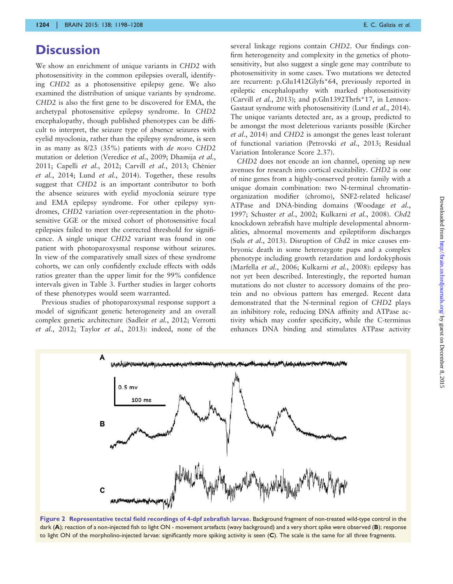#### <span id="page-6-0"></span>**Discussion**

We show an enrichment of unique variants in CHD2 with photosensitivity in the common epilepsies overall, identifying CHD2 as a photosensitive epilepsy gene. We also examined the distribution of unique variants by syndrome. CHD2 is also the first gene to be discovered for EMA, the archetypal photosensitive epilepsy syndrome. In CHD2 encephalopathy, though published phenotypes can be difficult to interpret, the seizure type of absence seizures with eyelid myoclonia, rather than the epilepsy syndrome, is seen in as many as 8/23 (35%) patients with de novo CHD2 mutation or deletion [\(Veredice](#page-9-0) et al., 2009; [Dhamija](#page-8-0) et al., [2011](#page-8-0); [Capelli](#page-8-0) et al., 2012; Carvill et al., 2013; Chénier et al.[, 2014](#page-8-0); Lund et al.[, 2014](#page-9-0)). Together, these results suggest that CHD2 is an important contributor to both the absence seizures with eyelid myoclonia seizure type and EMA epilepsy syndrome. For other epilepsy syndromes, CHD2 variation over-representation in the photosensitive GGE or the mixed cohort of photosensitive focal epilepsies failed to meet the corrected threshold for significance. A single unique CHD2 variant was found in one patient with photoparoxysmal response without seizures. In view of the comparatively small sizes of these syndrome cohorts, we can only confidently exclude effects with odds ratios greater than the upper limit for the 99% confidence intervals given in [Table 3](#page-5-0). Further studies in larger cohorts of these phenotypes would seem warranted.

Previous studies of photoparoxysmal response support a model of significant genetic heterogeneity and an overall complex genetic architecture [\(Sadleir](#page-9-0) et al., 2012; [Verrotti](#page-9-0) et al.[, 2012](#page-9-0); Taylor et al.[, 2013\)](#page-9-0): indeed, none of the

several linkage regions contain CHD2. Our findings confirm heterogeneity and complexity in the genetics of photosensitivity, but also suggest a single gene may contribute to photosensitivity in some cases. Two mutations we detected are recurrent: p.Glu1412Glyfs\*64, previously reported in epileptic encephalopathy with marked photosensitivity [\(Carvill](#page-8-0) et al., 2013); and p.Gln1392Thrfs\*17, in Lennox-Gastaut syndrome with photosensitivity (Lund et al.[, 2014](#page-9-0)). The unique variants detected are, as a group, predicted to be amongst the most deleterious variants possible ([Kircher](#page-9-0) et al.[, 2014](#page-9-0)) and CHD2 is amongst the genes least tolerant of functional variation ([Petrovski](#page-9-0) et al., 2013; Residual Variation Intolerance Score 2.37).

CHD2 does not encode an ion channel, opening up new avenues for research into cortical excitability. CHD2 is one of nine genes from a highly-conserved protein family with a unique domain combination: two N-terminal chromatinorganization modifier (chromo), SNF2-related helicase/ ATPase and DNA-binding domains [\(Woodage](#page-9-0) et al., [1997; Schuster](#page-9-0) et al., 2002; [Kulkarni](#page-9-0) et al., 2008). Chd2 knockdown zebrafish have multiple developmental abnormalities, abnormal movements and epileptiform discharges (Suls et al[., 2013\)](#page-9-0). Disruption of Chd2 in mice causes embryonic death in some heterozygote pups and a complex phenotype including growth retardation and lordokyphosis [\(Marfella](#page-9-0) et al., 2006; [Kulkarni](#page-9-0) et al., 2008): epilepsy has not yet been described. Interestingly, the reported human mutations do not cluster to accessory domains of the protein and no obvious pattern has emerged. Recent data demonstrated that the N-terminal region of CHD2 plays an inhibitory role, reducing DNA affinity and ATPase activity which may confer specificity, while the C-terminus enhances DNA binding and stimulates ATPase activity



Figure 2 Representative tectal field recordings of 4-dpf zebrafish larvae. Background fragment of non-treated wild-type control in the dark (A); reaction of a non-injected fish to light ON - movement artefacts (wavy background) and a very short spike were observed (B); response to light ON of the morpholino-injected larvae: significantly more spiking activity is seen (C). The scale is the same for all three fragments.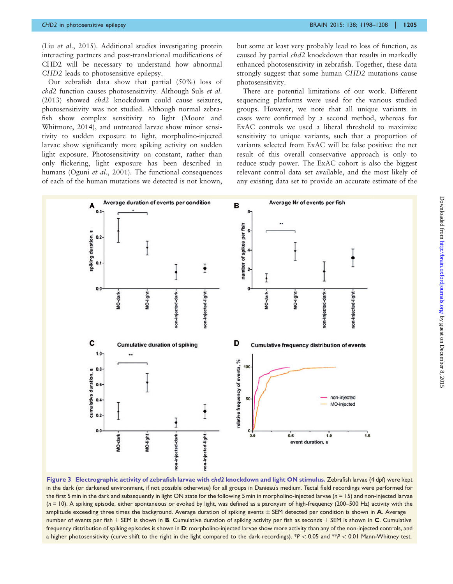<span id="page-7-0"></span>(Liu et al[., 2015\)](#page-9-0). Additional studies investigating protein interacting partners and post-translational modifications of CHD2 will be necessary to understand how abnormal CHD2 leads to photosensitive epilepsy.

Our zebrafish data show that partial (50%) loss of chd2 function causes photosensitivity. Although Suls [et al.](#page-9-0) [\(2013\)](#page-9-0) showed chd2 knockdown could cause seizures, photosensitivity was not studied. Although normal zebrafish show complex sensitivity to light ([Moore and](#page-9-0) [Whitmore, 2014](#page-9-0)), and untreated larvae show minor sensitivity to sudden exposure to light, morpholino-injected larvae show significantly more spiking activity on sudden light exposure. Photosensitivity on constant, rather than only flickering, light exposure has been described in humans (Oguni et al.[, 2001\)](#page-9-0). The functional consequences of each of the human mutations we detected is not known, but some at least very probably lead to loss of function, as caused by partial chd2 knockdown that results in markedly enhanced photosensitivity in zebrafish. Together, these data strongly suggest that some human CHD2 mutations cause photosensitivity.

There are potential limitations of our work. Different sequencing platforms were used for the various studied groups. However, we note that all unique variants in cases were confirmed by a second method, whereas for ExAC controls we used a liberal threshold to maximize sensitivity to unique variants, such that a proportion of variants selected from ExAC will be false positive: the net result of this overall conservative approach is only to reduce study power. The ExAC cohort is also the biggest relevant control data set available, and the most likely of any existing data set to provide an accurate estimate of the



Figure 3 Electrographic activity of zebrafish larvae with chd2 knockdown and light ON stimulus. Zebrafish larvae (4 dpf) were kept in the dark (or darkened environment, if not possible otherwise) for all groups in Danieau's medium. Tectal field recordings were performed for the first 5 min in the dark and subsequently in light ON state for the following 5 min in morpholino-injected larvae ( $n = 15$ ) and non-injected larvae  $(n = 10)$ . A spiking episode, either spontaneous or evoked by light, was defined as a paroxysm of high-frequency (200–500 Hz) activity with the amplitude exceeding three times the background. Average duration of spiking events  $\pm$  SEM detected per condition is shown in  $A$ . Average number of events per fish  $\pm$  SEM is shown in B. Cumulative duration of spiking activity per fish as seconds  $\pm$  SEM is shown in C. Cumulative frequency distribution of spiking episodes is shown in D: morpholino-injected larvae show more activity than any of the non-injected controls, and a higher photosensitivity (curve shift to the right in the light compared to the dark recordings). \*P < 0.05 and \*\*P < 0.01 Mann-Whitney test.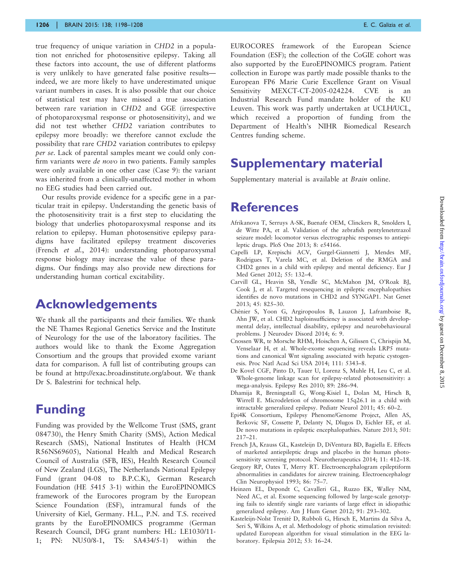<span id="page-8-0"></span>true frequency of unique variation in CHD2 in a population not enriched for photosensitive epilepsy. Taking all these factors into account, the use of different platforms is very unlikely to have generated false positive results indeed, we are more likely to have underestimated unique variant numbers in cases. It is also possible that our choice of statistical test may have missed a true association between rare variation in CHD2 and GGE (irrespective of photoparoxysmal response or photosensitivity), and we did not test whether CHD2 variation contributes to epilepsy more broadly: we therefore cannot exclude the possibility that rare CHD2 variation contributes to epilepsy per se. Lack of parental samples meant we could only confirm variants were de novo in two patients. Family samples were only available in one other case (Case 9): the variant was inherited from a clinically-unaffected mother in whom no EEG studies had been carried out.

Our results provide evidence for a specific gene in a particular trait in epilepsy. Understanding the genetic basis of the photosensitivity trait is a first step to elucidating the biology that underlies photoparoxysmal response and its relation to epilepsy. Human photosensitive epilepsy paradigms have facilitated epilepsy treatment discoveries (French et al., 2014): understanding photoparoxysmal response biology may increase the value of these paradigms. Our findings may also provide new directions for understanding human cortical excitability.

#### Acknowledgements

We thank all the participants and their families. We thank the NE Thames Regional Genetics Service and the Institute of Neurology for the use of the laboratory facilities. The authors would like to thank the Exome Aggregation Consortium and the groups that provided exome variant data for comparison. A full list of contributing groups can be found at [http://exac.broadinstitute.org/about.](http://exac.broadinstitute.org/about) We thank Dr S. Balestrini for technical help.

## Funding

Funding was provided by the Wellcome Trust (SMS, grant 084730), the Henry Smith Charity (SMS), Action Medical Research (SMS), National Institutes of Health (HCM R56NS69605), National Health and Medical Research Council of Australia (SFB, IES), Health Research Council of New Zealand (LGS), The Netherlands National Epilepsy Fund (grant 04-08 to B.P.C.K), German Research Foundation (HE 5415 3-1) within the EuroEPINOMICS framework of the Eurocores program by the European Science Foundation (ESF), intramural funds of the University of Kiel, Germany. H.L., P.N. and T.S. received grants by the EuroEPINOMICS programme (German Research Council, DFG grant numbers: HL: LE1030/11- 1; PN: NU50/8-1, TS: SA434/5-1) within the

EUROCORES framework of the European Science Foundation (ESF); the collection of the CoGIE cohort was also supported by the EuroEPINOMICS program. Patient collection in Europe was partly made possible thanks to the European FP6 Marie Curie Excellence Grant on Visual Sensitivity MEXCT-CT-2005-024224. CVE is an Industrial Research Fund mandate holder of the KU Leuven. This work was partly undertaken at UCLH/UCL, which received a proportion of funding from the Department of Health's NIHR Biomedical Research Centres funding scheme.

## Supplementary material

[Supplementary material](http://brain.oxfordjournals.org/lookup/suppl/doi:10.1093/brain/awv052/-/DC1) is available at *Brain* online.

#### **References**

- Afrikanova T, Serruys A-SK, Buenafe OEM, Clinckers R, Smolders I, de Witte PA, et al. Validation of the zebrafish pentylenetetrazol seizure model: locomotor versus electrographic responses to antiepileptic drugs. PloS One 2013; 8: e54166.
- Capelli LP, Krepischi ACV, Gurgel-Giannetti J, Mendes MF, Rodrigues T, Varela MC, et al. Deletion of the RMGA and CHD2 genes in a child with epilepsy and mental deficiency. Eur J Med Genet 2012; 55: 132–4.
- Carvill GL, Heavin SB, Yendle SC, McMahon JM, O'Roak BJ, Cook J, et al. Targeted resequencing in epileptic encephalopathies identifies de novo mutations in CHD2 and SYNGAP1. Nat Genet 2013; 45: 825–30.
- Chénier S, Yoon G, Argiropoulos B, Lauzon J, Laframboise R, Ahn JW, et al. CHD2 haploinsufficiency is associated with developmental delay, intellectual disability, epilepsy and neurobehavioural problems. J Neurodev Disord 2014; 6: 9.
- Cnossen WR, te Morsche RHM, Hoischen A, Gilissen C, Chrispijn M, Venselaar H, et al. Whole-exome sequencing reveals LRP5 mutations and canonical Wnt signaling associated with hepatic cystogenesis. Proc Natl Acad Sci USA 2014; 111: 5343–8.
- De Kovel CGF, Pinto D, Tauer U, Lorenz S, Muhle H, Leu C, et al. Whole-genome linkage scan for epilepsy-related photosensitivity: a mega-analysis. Epilepsy Res 2010; 89: 286–94.
- Dhamija R, Breningstall G, Wong-Kisiel L, Dolan M, Hirsch B, Wirrell E. Microdeletion of chromosome 15q26.1 in a child with intractable generalized epilepsy. Pediatr Neurol 2011; 45: 60–2.
- Epi4K Consortium, Epilepsy Phenome/Genome Project, Allen AS, Berkovic SF, Cossette P, Delanty N, Dlugos D, Eichler EE, et al. De novo mutations in epileptic encephalopathies. Nature 2013; 501: 217–21.
- French JA, Krauss GL, Kasteleijn D, DiVentura BD, Bagiella E. Effects of marketed antiepileptic drugs and placebo in the human photosensitivity screening protocol. Neurotherapeutics 2014; 11: 412–18.
- Gregory RP, Oates T, Merry RT. Electroencephalogram epileptiform abnormalities in candidates for aircrew training. Electroencephalogr Clin Neurophysiol 1993; 86: 75–7.
- Heinzen EL, Depondt C, Cavalleri GL, Ruzzo EK, Walley NM, Need AC, et al. Exome sequencing followed by large-scale genotyping fails to identify single rare variants of large effect in idiopathic generalized epilepsy. Am J Hum Genet 2012; 91: 293–302.
- Kasteleijn-Nolst Trenité D, Rubboli G, Hirsch E, Martins da Silva A, Seri S, Wilkins A, et al. Methodology of photic stimulation revisited: updated European algorithm for visual stimulation in the EEG laboratory. Epilepsia 2012; 53: 16–24.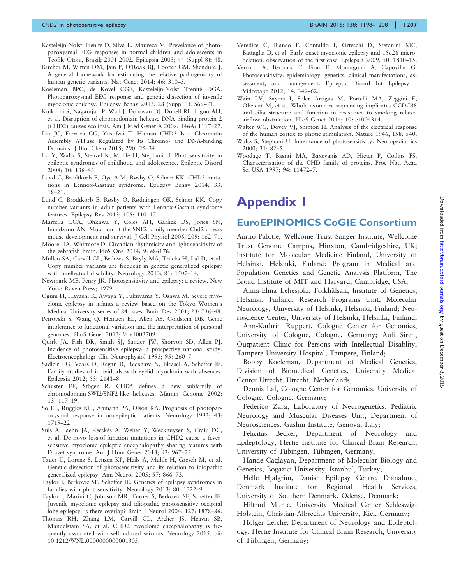- <span id="page-9-0"></span>Kasteleijn-Nolst Trenite D, Silva L, Maureza M. Prevelance of photoparoxysmal EEG responses in normal children and adolescents in Teofile Otoni, Brazil; 2001-2002. Epilepsia 2003; 44 (Suppl 8): 48.
- Kircher M, Witten DM, Jain P, O'Roak BJ, Cooper GM, Shendure J. A general framework for estimating the relative pathogenicity of human genetic variants. Nat Genet 2014; 46: 310–5.
- Koeleman BPC, de Kovel CGF, Kasteleijn-Nolst Trenité DGA. Photoparoxysmal EEG response and genetic dissection of juvenile myoclonic epilepsy. Epilepsy Behav 2013; 28 (Suppl 1): S69–71.
- Kulkarni S, Nagarajan P, Wall J, Donovan DJ, Donell RL, Ligon AH, et al. Disruption of chromodomain helicase DNA binding protein 2 (CHD2) causes scoliosis. Am J Med Genet A 2008; 146A: 1117–27.
- Liu JC, Ferreira CG, Yusufzai T. Human CHD2 Is a Chromatin Assembly ATPase Regulated by Its Chromo- and DNA-binding Domains. J Biol Chem 2015; 290: 25–34.
- Lu Y, Waltz S, Stenzel K, Muhle H, Stephani U. Photosensitivity in epileptic syndromes of childhood and adolescence. Epileptic Disord 2008; 10: 136–43.
- Lund C, Brodtkorb E, Oye A-M, Røsby O, Selmer KK. CHD2 mutations in Lennox-Gastaut syndrome. Epilepsy Behav 2014; 33: 18–21.
- Lund C, Brodtkorb E, Røsby O, Rødningen OK, Selmer KK. Copy number variants in adult patients with Lennox-Gastaut syndrome features. Epilepsy Res 2013; 105: 110–17.
- Marfella CGA, Ohkawa Y, Coles AH, Garlick DS, Jones SN, Imbalzano AN. Mutation of the SNF2 family member Chd2 affects mouse development and survival. J Cell Physiol 2006; 209: 162–71.
- Moore HA, Whitmore D. Circadian rhythmicity and light sensitivity of the zebrafish brain. PloS One 2014; 9: e86176.
- Mullen SA, Carvill GL, Bellows S, Bayly MA, Trucks H, Lal D, et al. Copy number variants are frequent in genetic generalized epilepsy with intellectual disability. Neurology 2013; 81: 1507–14.
- Newmark ME, Penry JK. Photosensitivity and epilepsy: a review. New York: Raven Press; 1979.
- Oguni H, Hayashi K, Awaya Y, Fukuyama Y, Osawa M. Severe myoclonic epilepsy in infants–a review based on the Tokyo Women's Medical University series of 84 cases. Brain Dev 2001; 23: 736–48.
- Petrovski S, Wang Q, Heinzen EL, Allen AS, Goldstein DB. Genic intolerance to functional variation and the interpretation of personal genomes. PLoS Genet 2013; 9: e1003709.
- Quirk JA, Fish DR, Smith SJ, Sander JW, Shorvon SD, Allen PJ. Incidence of photosensitive epilepsy: a prospective national study. Electroencephalogr Clin Neurophysiol 1995; 95: 260–7.
- Sadleir LG, Vears D, Regan B, Redshaw N, Bleasel A, Scheffer IE. Family studies of individuals with eyelid myoclonia with absences. Epilepsia 2012; 53: 2141–8.
- Schuster EF, Stöger R. CHD5 defines a new subfamily of chromodomain-SWI2/SNF2-like helicases. Mamm Genome 2002; 13: 117–19.
- So EL, Ruggles KH, Ahmann PA, Olson KA. Prognosis of photoparoxysmal response in nonepileptic patients. Neurology 1993; 43: 1719–22.
- Suls A, Jaehn JA, Kecskés A, Weber Y, Weckhuysen S, Craiu DC, et al. De novo loss-of-function mutations in CHD2 cause a feversensitive myoclonic epileptic encephalopathy sharing features with Dravet syndrome. Am J Hum Genet 2013; 93: 967–75.
- Tauer U, Lorenz S, Lenzen KP, Heils A, Muhle H, Gresch M, et al. Genetic dissection of photosensitivity and its relation to idiopathic generalized epilepsy. Ann Neurol 2005; 57: 866–73.
- Taylor I, Berkovic SF, Scheffer IE. Genetics of epilepsy syndromes in families with photosensitivity. Neurology 2013; 80: 1322–9.
- Taylor I, Marini C, Johnson MR, Turner S, Berkovic SF, Scheffer IE. Juvenile myoclonic epilepsy and idiopathic photosensitive occipital lobe epilepsy: is there overlap? Brain J Neurol 2004; 127: 1878–86.
- Thomas RH, Zhang LM, Carvill GL, Archer JS, Heavin SB, Mandelstam SA, et al. CHD2 myoclonic encephalopathy is frequently associated with self-induced seizures. Neurology 2015. pii: 10.1212/WNL.0000000000001305.
- Veredice C, Bianco F, Contaldo I, Orteschi D, Stefanini MC, Battaglia D, et al. Early onset myoclonic epilepsy and 15q26 microdeletion: observation of the first case. Epilepsia 2009; 50: 1810–15.
- Verrotti A, Beccaria F, Fiori F, Montagnini A, Capovilla G. Photosensitivity: epidemiology, genetics, clinical manifestations, assessment, and management. Epileptic Disord Int Epilepsy J Videotape 2012; 14: 349–62.
- Wain LV, Sayers I, Soler Artigas M, Portelli MA, Zeggini E, Obeidat M, et al. Whole exome re-sequencing implicates CCDC38 and cilia structure and function in resistance to smoking related airflow obstruction. PLoS Genet 2014; 10: e1004314.
- Walter WG, Dovey VJ, Shipton H. Analysis of the electrical response of the human cortex to photic stimulation. Nature 1946; 158: 540.
- Waltz S, Stephani U. Inheritance of photosensitivity. Neuropediatrics 2000; 31: 82–5.
- Woodage T, Basrai MA, Baxevanis AD, Hieter P, Collins FS. Characterization of the CHD family of proteins. Proc Natl Acad Sci USA 1997; 94: 11472–7.

## Appendix 1

#### EuroEPINOMICS CoGIE Consortium

Aarno Palotie, Wellcome Trust Sanger Institute, Wellcome Trust Genome Campus, Hinxton, Cambridgeshire, UK; Institute for Molecular Medicine Finland, University of Helsinki, Helsinki, Finland; Program in Medical and Population Genetics and Genetic Analysis Platform, The Broad Institute of MIT and Harvard, Cambridge, USA;

Anna-Elina Lehesjoki, Folkhälsan, Institute of Genetics, Helsinki, Finland; Research Programs Unit, Molecular Neurology, University of Helsinki, Helsinki, Finland; Neuroscience Center, University of Helsinki, Helsinki, Finland;

Ann-Kathrin Ruppert, Cologne Center for Genomics, University of Cologne, Cologne, Germany; Auli Siren, Outpatient Clinic for Persons with Intellectual Disablity, Tampere University Hospital, Tampere, Finland;

Bobby Koeleman, Department of Medical Genetics, Division of Biomedical Genetics, University Medical Center Utrecht, Utrecht, Netherlands;

Dennis Lal, Cologne Center for Genomics, University of Cologne, Cologne, Germany;

Federico Zara, Laboratory of Neurogenetics, Pediatric Neurology and Muscular Diseases Unit, Department of Neurosciences, Gaslini Institute, Genova, Italy;

Felicitas Becker, Department of Neurology and Epileptology, Hertie Institute for Clinical Brain Research, University of Tübingen, Tübingen, Germany;

Hande Caglayan, Department of Molecular Biology and Genetics, Bogazici University, Istanbul, Turkey;

Helle Hjalgrim, Danish Epilepsy Centre, Dianalund, Denmark Institute for Regional Health Services, University of Southern Denmark, Odense, Denmark;

Hiltrud Muhle, University Medical Center Schleswig-Holstein, Christian-Albrechts University, Kiel, Germany;

Holger Lerche, Department of Neurology and Epileptology, Hertie Institute for Clinical Brain Research, University of Tübingen, Germany;